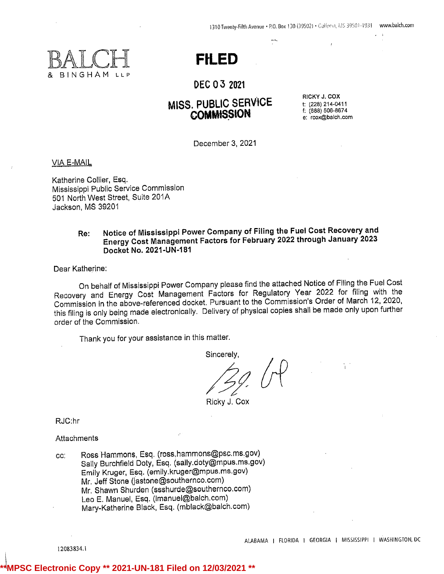1310 Twenty-Fifth Avenue · P.O. Box 130 (39502) · Galfpert, MS 39501-1931 www.balch.com





DEC 0 3 <sup>2021</sup>

# MISS. PUBLIC SERVICE<br>
COMMISSION COMMISSION

f: (888) 506-8674 e: rcox@balch.com

December 3, 2021

VIA E-MAIL

Katherine Collier, Esq. Mississippi Public Service Commission <sup>501</sup> North West Street, Suite 201A Jackson, MS 39201

# Re: Notice of Mississippi Power Company of Filing the Fuel Cost Recovery and Energy Cost Management Factors for February <sup>2022</sup> through January<sup>2023</sup> Docket No. 2021-UN-181

Dear Katherine:

On behalf of Mississippi Power Company please find the attached Notice of Filing the Fuel Cost Recovery and Energy Cost Management Factors for Regulatory Year <sup>2022</sup> for filing with the Commission in the above-referenced docket. Pursuant to the Commission's Order of March 12, 2020, this filing is only being made electronically. Delivery of physical copies shall be made only upon further order of the Commission.

Thank you for your assistance in this matter.

Sincerely,

Ricky J. Cox

RJC:hr

Attachments

cc: Ross Hammons, Esq. (ross.hammons@psc.ms.gov) Sally Burchfield Doty, Esq. (sally.doty@mpus.ms.gov) Emily Kruger, Esq. (emily.kruger@mpus.ms.gov) Mr. Jeff Stone (jastone@southernco.com) Mr. Shawn Shurden (ssshurde@southernco.com) Leo E. Manuel, Esq. (Imanuel@balch.com) Mary-Katherine Black, Esq. (mblack@balch.com)

12083834.1

**C Electronic Copy \*\* 2021-UN-181 Filed on 12/03/2021**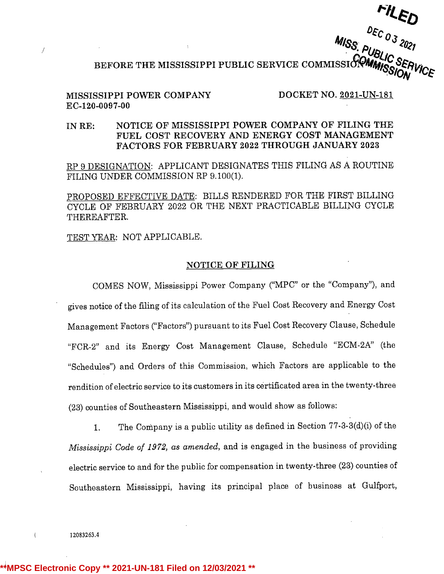DEC 03 2021<br>BEFORE THE MISSISSIPPI PUBLIC SERVICE COMMISSION MISSION VICE

# MISSISSIPPI POWER COMPANY DOCKET NO. 2021-UN-181 EC-120-0097-00

 $\overline{f}$ 

# IN RE: NOTICE OF MISSISSIPPI POWER COMPANY OF FILING THE FUEL COST RECOVERY AND ENERGY COST MANAGEMENT FACTORS FOR FEBRUARY 2022 THROUGH JANUARY 2023

RP <sup>9</sup> DESIGNATION: APPLICANT DESIGNATES THIS FILING AS A ROUTINE FILING UNDER COMMISSION RP 9.100(1).

PROPOSED EFFECTIVE DATE: BILLS RENDERED FOR THE FIRST BILLING CYCLE OF FEBRUARY 2022 OR THE NEXT PRACTICABLE BILLING CYCLE THEREAFTER.

TEST YEAR: NOT APPLICABLE.

# NOTICE OF FILING

COMES NOW, Mississippi Power Company ("MPC" or the "Company"), and gives notice of the filing of its calculation of the Fuel Cost Recoveryand Energy Cost Management Factors ("Factors") pursuant to its Fuel Cost Recovery Clause, Schedule "FØR-2" and its Energy Cost Management Clause, Schedule "ECM-2A" (the "Schedules") and Orders of this Commission, which Factors are applicable to the rendition of electric service to its customers in its certificated area in the twenty-three (23) counties of Southeastern Mississippi,and would show as follows:

1. The Company is a public utility as defined in Section  $77-3-3(d)(i)$  of the Mississippi Code of 1972, as amended, and is engaged in the business of providing electric service to and for the public for compensation in twenty-three (23) counties of Southeastern Mississippi, having its principal place of business at Gulfport,

12083263.4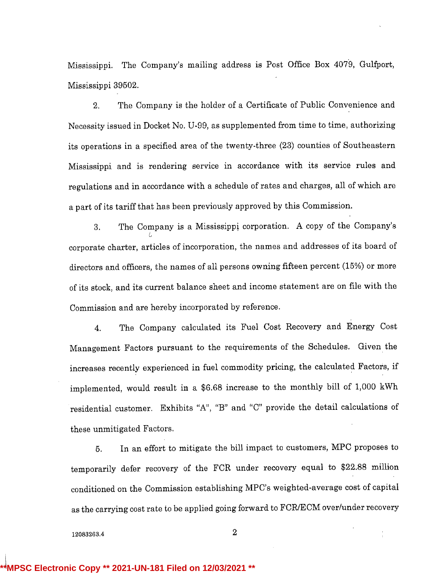Mississippi. The Company's mailing address is Post Office Box 4079, Gulfport, Mississippi39502.

2. The Company is the holder of <sup>a</sup> Certificate of Public Convenience and Necessity issued in Docket No. U-99, as supplemented from time to time, authorizing its operations in <sup>a</sup> specified area of the twenty-three (23) counties of Southeastern Mississippi and is rendering service in accordance with its service rules and regulations and in accordance with a schedule of rates and charges, all of which are <sup>a</sup> part of its tariff that has been previouslyapproved by this Commission.

3. The Company is <sup>a</sup> Mississippi corporation. A copy of the Company's corporate charter, articles of incorporation, the names and addresses of its board of directors and officers, the names of all persons owning fifteen percent (15%) or more of its stock, and its current balance sheet and income statement are on file with the Commission and are hereby incorporated by reference.

4. The Company calculated its Fuel Cost Recovery and Energy Cost Management Factors pursuant to the requirements of the Schedules. Given the increases recently experienced in fuel commodity pricing, the calculated Factors, if implemented,would result in <sup>a</sup> \$6.68 increase to the monthly bill of 1,000 kWh residential customer. Exhibits "A", "B" and "C" provide the detail calculations of these unmitigated Factors.

5. In an effort to mitigate the bill impact to customers, MPC proposes to temporarily defer recovery of the FCR under recovery equal to \$22.88 million conditioned on the Commission establishing MPC's weighted-average cost of capital as the carrying cost rate to be applied going forward to FCR/ECM over/under recovery

12083263.4 2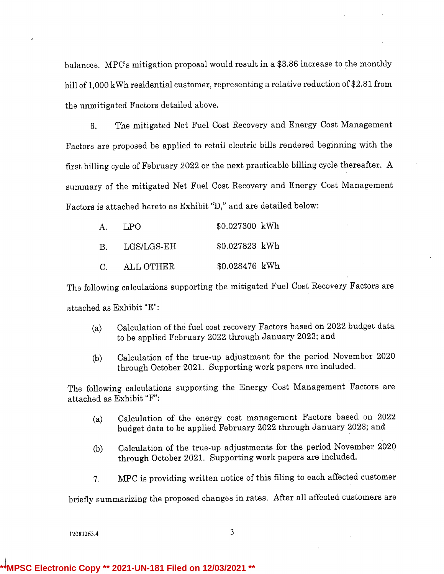balances. MPC's mitigation proposal would result in <sup>a</sup> \$3.86 increase to the monthly bill of 1,000 kWh residential customer, representing a relative reduction of \$2.81 from the unmitigated Factors detailed above.

6. The mitigated Net Fuel Cost Recovery and Energy Cost Management Factors are proposed be applied to retail electric bills rendered beginning with the first billing cycle of February 2022 or the next practicable billing cycle thereafter. A summary of the mitigated Net Fuel Cost Recovery and Energy Cost Management Factors is attached hereto as Exhibit "D," and are detailed below:

| А.           | LPO.       | \$0.027300 kWh |  |
|--------------|------------|----------------|--|
| В.           | LGS/LGS-EH | \$0.027823 kWh |  |
| $\mathbf{C}$ | ALL OTHER  | \$0.028476 kWh |  |

The following calculations supporting the mitigated Fuel Cost Recovery Factors are attached as Exhibit "E":

- (a) Calculation of the fuel cost recovery Factors based on  $2022$  budget data to be applied February 2022 through January 2023; and
- (b) Calculation of the true-up adjustment for the period November 2020 through October 2021. Supporting work papers are included.

The following calculations supporting the Energy Cost Management Factors are attached as Exhibit "F":

- (a) Calculation of the energy cost management Factors based on 2022 budget data to be applied February 2022 through January 2023; and
- (b) Calculation of the true-up adjustments for the period November 2020 through October 2021. Supportingwork papers are included.
- 7. MPC is providing written notice of this filing to each affected customer

briefly summarizing the proposed changes in rates. After all affected customers are

12083263.4 3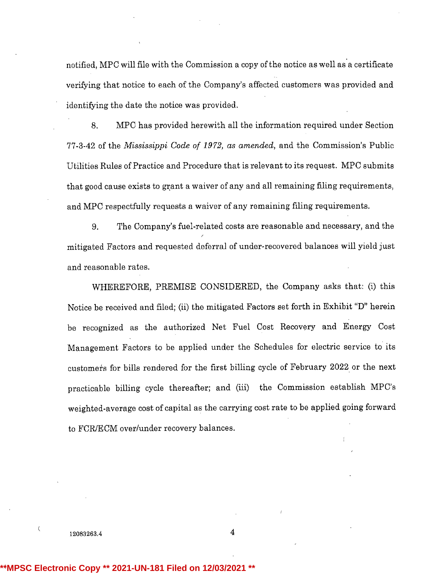notified, MPC will file with the Commission a copy of the notice as well as a certificate verifying that notice to each of the Company's affected customers was provided and identifying the date the notice was provided.

8. MPC has provided herewith all the information required under Section 77-3-42 of the Mississippi Code of 1972, as amended, and the Commission's Public Utilities Rules of Practice and Procedure that is relevant to its request. MPC submits that good cause exists to grant a waiver of any and all remaining filing requirements, and MPC respectfully requests a waiver of any remaining filing requirements.

9. The Company'sfuel-related costs are reasonable and necessary, and the mitigated Factors and requested deferra1 of under-recovered balances will yield just and reasonable rates.

WHEREFORE, PREMISE CONSIDERED, the Company asks that: (i) this Notice be received and filed; (ii) the mitigated Factors set forth in Exhibit "D" herein be recognized as the authorized Net Fuel Cost Recovery and Energy Cost Management Factors to be applied under the Schedules for electric service to its customers for bills rendered for the first billing cycle of February 2022 or the next practicable billing cycle thereafter; and (iii) the Commission establish MPC's weighted-average cost of capital as the carrying cost rate to be applied going forward to FCR/ECM over/under recovery balances.

12083263.4 4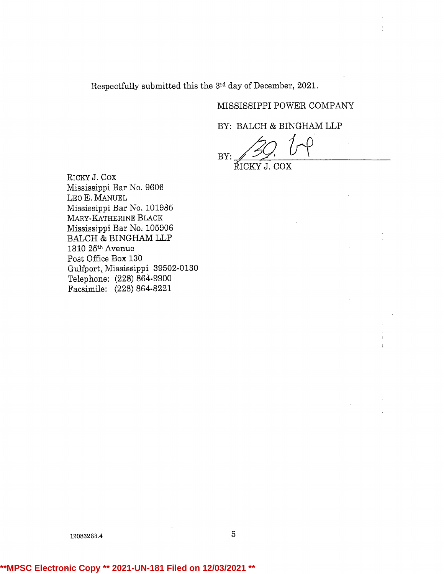Respectfully submitted this the 3rd day of December, 2021.

# MISSISSIPPI POWER COMPANY

BY: BALCH & BINGHAM LLP

BY: IÍICKY J. COX

RICKY J. Cox Mississippi Bar No. 9606 LEo E. MANUEL Mississippi Bar No. 101985 MARY-KATHERINE BLACK Mississippi Bar No. 105906 BALCH & BINGHAM LLP 1310 25<sup>th</sup> Avenue Post Office Box 130 Gulfport, Mississippi 39502-0130 Telephone: (228) 864-9900 Facsimile: (228) 864-8221

12083263.4 5

# **\*\*MPSC Electronic Copy \*\* 2021-UN-181 Filed on 12/03/2021 \*\***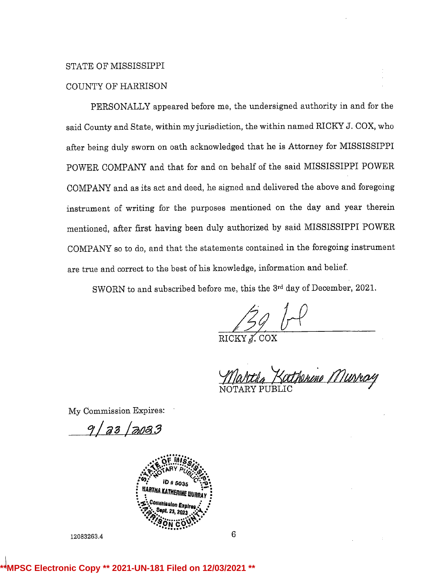# STATE OF MISSISSIPPI

# COUNTY OF HARRISON

PERSONALLY appeared before me, the undersigned authority in and for the said County and State, within my jurisdiction, the within named RICKY J. COX, who after being duly sworn on oath acknowledged that he is Attorney for MISSISSIPPI POWER COMPANY and that for and on behalf of the said MISSISSIPPI POWER COMPANY and as its act and deed, he signed and delivered the above and foregoing instrument of writing for the purposes mentioned on the day and year therein mentioned, after first having been duly authorized by said MISSISSIPPI POWER COMPANY so to do, and that the statements contained in the foregoing instrument are true and correct to the best of his knowledge, information and belief.

SWORN to and subscribed before me, this the 3rd day of December, 2021.

RICKY *J*. COX

Kotherine Musray

My CommissionExpires:

9 | 23 | 2023



12083263A

6

## **81 Filed on 12/03/20**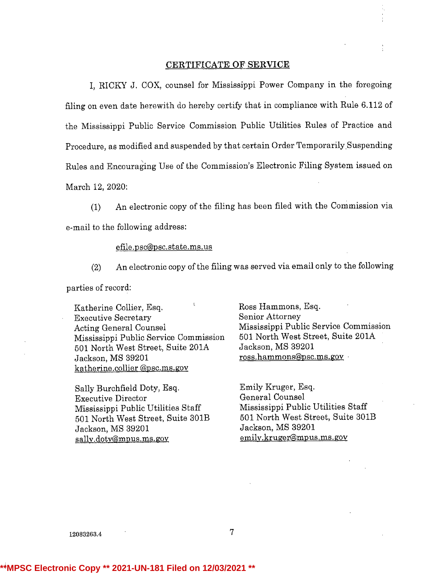## CERTIFICATE OF SERVICE

I, RICKY J. COX, counsel for Mississippi Power Company in the foregoing filing on even date herewith do hereby certify that in compliance with Rule 6.112 of the Mississippi Public Service Commission Public Utilities Rules of Practice and Procedure, as modified and suspended by that certain Order Temporarily.Suspending Rules and Encouraging Use of the Commission's Electronic Filing System issued on March 12, 2020:

(1) An electronic copy of the filing has been filed with the Commission via e-mail to the following address:

efile.psc@psc.state.ms.us

(2) An electronic copy of the filing was served via email only to the following parties of record:

Katherine Collier, Esq.<br>
Executive Secretary<br>
Executive Secretary<br>
Senior Attorney **Executive Secretary** Acting General Counsel **Mississippi Public Service Commission** Mississippi Public Service Commission 501 North West Street, Suite 201A 501 North West Street, Suite 201A Jackson, MS 39201 Jackson, MS 39201 ross.hammons@psc.ms.gov katherine.collier @psc.ms.gov

Sally Burchfield Doty, Esq.<br>Executive Director General Counsel Executive Director General Counsel Mississippi Public Utilities Staff Mississippi Public Utilities Staff<br>
501 North West Street, Suite 301B<br>
601 North West Street, Suite 301B <sup>501</sup> North West Street, Suite 301B 501 North West Street, Suite 301B Jackson, MS 39201 sally.doty@mpus.ms.gov emily.kruger@mpus.ms.gov